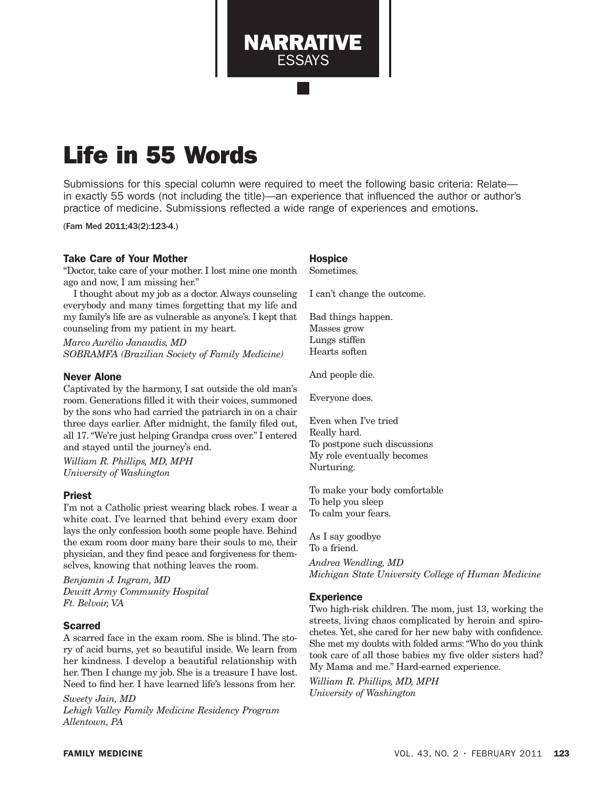Life in 55 Words

Submissions for this special column were required to meet the following basic criteria: Relate in exactly 55 words (not including the title)—an experience that influenced the author or author's practice of medicine. Submissions reflected a wide range of experiences and emotions.

NARRATIVE ESSAYS

(Fam Med 2011;43(2):123-4.)

## Take Care of Your Mother

"Doctor, take care of your mother. I lost mine one month ago and now, I am missing her."

I thought about my job as a doctor. Always counseling everybody and many times forgetting that my life and my family's life are as vulnerable as anyone's. I kept that counseling from my patient in my heart.

*Marco Aurélio Janaudis, MD SOBRAMFA (Brazilian Society of Family Medicine)*

#### Never Alone

Captivated by the harmony, I sat outside the old man's room. Generations filled it with their voices, summoned by the sons who had carried the patriarch in on a chair three days earlier. After midnight, the family filed out, all 17. "We're just helping Grandpa cross over." I entered and stayed until the journey's end.

*William R. Phillips, MD, MPH University of Washington*

#### Priest

I'm not a Catholic priest wearing black robes. I wear a white coat. I've learned that behind every exam door lays the only confession booth some people have. Behind the exam room door many bare their souls to me, their physician, and they find peace and forgiveness for themselves, knowing that nothing leaves the room.

*Benjamin J. Ingram, MD Dewitt Army Community Hospital Ft. Belvoir, VA*

## Scarred

A scarred face in the exam room. She is blind. The story of acid burns, yet so beautiful inside. We learn from her kindness. I develop a beautiful relationship with her. Then I change my job. She is a treasure I have lost. Need to find her. I have learned life's lessons from her.

*Sweety Jain, MD Lehigh Valley Family Medicine Residency Program Allentown, PA*

# **Hospice**

Sometimes.

I can't change the outcome.

Bad things happen. Masses grow Lungs stiffen Hearts soften

And people die.

Everyone does.

Even when I've tried Really hard. To postpone such discussions My role eventually becomes Nurturing.

To make your body comfortable To help you sleep To calm your fears.

As I say goodbye To a friend. *Andrea Wendling, MD Michigan State University College of Human Medicine*

#### **Experience**

Two high-risk children. The mom, just 13, working the streets, living chaos complicated by heroin and spirochetes. Yet, she cared for her new baby with confidence. She met my doubts with folded arms: "Who do you think took care of all those babies my five older sisters had? My Mama and me." Hard-earned experience.

*William R. Phillips, MD, MPH University of Washington*